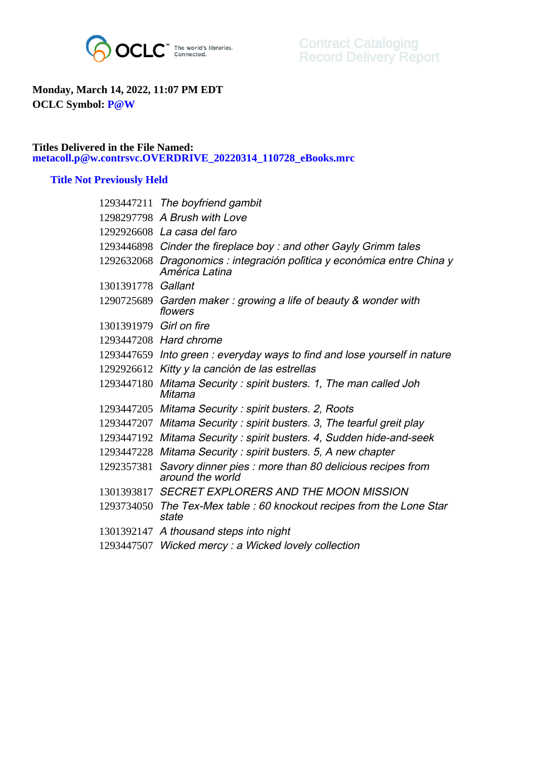

## **Monday, March 14, 2022, 11:07 PM EDT OCLC Symbol: P@W**

## **Titles Delivered in the File Named: metacoll.p@w.contrsvc.OVERDRIVE\_20220314\_110728\_eBooks.mrc**

## **Title Not Previously Held**

|                         | 1293447211 The boyfriend gambit                                                           |  |
|-------------------------|-------------------------------------------------------------------------------------------|--|
|                         | 1298297798 A Brush with Love                                                              |  |
|                         | 1292926608 La casa del faro                                                               |  |
|                         | 1293446898 Cinder the fireplace boy: and other Gayly Grimm tales                          |  |
|                         | 1292632068 Dragonomics : integración politica y económica entre China y<br>América Latina |  |
| 1301391778 Gallant      |                                                                                           |  |
|                         | 1290725689 Garden maker: growing a life of beauty & wonder with<br>flowers                |  |
| 1301391979 Girl on fire |                                                                                           |  |
|                         | 1293447208 Hard chrome                                                                    |  |
|                         | 1293447659 Into green: everyday ways to find and lose yourself in nature                  |  |
|                         | 1292926612 Kitty y la canción de las estrellas                                            |  |
|                         | 1293447180 Mitama Security: spirit busters. 1, The man called Joh<br>Mitama               |  |
|                         | 1293447205 Mitama Security: spirit busters. 2, Roots                                      |  |
|                         | 1293447207 Mitama Security: spirit busters. 3, The tearful greit play                     |  |
|                         | 1293447192 Mitama Security: spirit busters. 4, Sudden hide-and-seek                       |  |
|                         | 1293447228 Mitama Security: spirit busters. 5, A new chapter                              |  |
|                         | 1292357381 Savory dinner pies : more than 80 delicious recipes from<br>around the world   |  |
|                         | 1301393817 SECRET EXPLORERS AND THE MOON MISSION                                          |  |
|                         | 1293734050 The Tex-Mex table : 60 knockout recipes from the Lone Star<br>state            |  |
|                         | 1301392147 A thousand steps into night                                                    |  |
|                         | 1293447507 Wicked mercy: a Wicked lovely collection                                       |  |
|                         |                                                                                           |  |